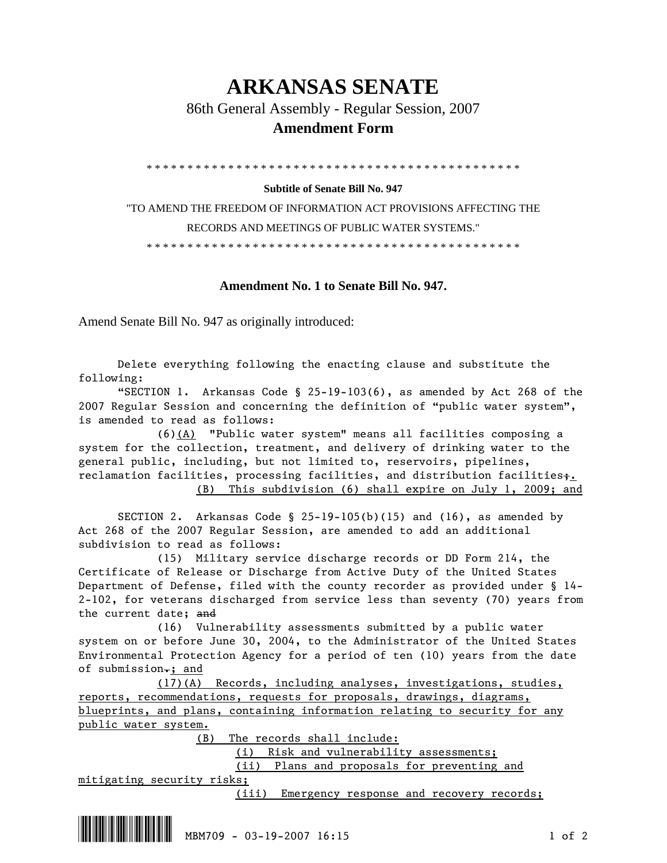## **ARKANSAS SENATE**

86th General Assembly - Regular Session, 2007

## **Amendment Form**

\* \* \* \* \* \* \* \* \* \* \* \* \* \* \* \* \* \* \* \* \* \* \* \* \* \* \* \* \* \* \* \* \* \* \* \* \* \* \* \* \* \* \* \* \* \*

## **Subtitle of Senate Bill No. 947**

"TO AMEND THE FREEDOM OF INFORMATION ACT PROVISIONS AFFECTING THE RECORDS AND MEETINGS OF PUBLIC WATER SYSTEMS."

\* \* \* \* \* \* \* \* \* \* \* \* \* \* \* \* \* \* \* \* \* \* \* \* \* \* \* \* \* \* \* \* \* \* \* \* \* \* \* \* \* \* \* \* \* \*

## **Amendment No. 1 to Senate Bill No. 947.**

Amend Senate Bill No. 947 as originally introduced:

 Delete everything following the enacting clause and substitute the following:

"SECTION 1. Arkansas Code § 25-19-103(6), as amended by Act 268 of the 2007 Regular Session and concerning the definition of "public water system", is amended to read as follows:

 (6)(A) "Public water system" means all facilities composing a system for the collection, treatment, and delivery of drinking water to the general public, including, but not limited to, reservoirs, pipelines, reclamation facilities, processing facilities, and distribution facilities;. (B) This subdivision (6) shall expire on July 1, 2009; and

 SECTION 2. Arkansas Code § 25-19-105(b)(15) and (16), as amended by Act 268 of the 2007 Regular Session, are amended to add an additional subdivision to read as follows:

 (15) Military service discharge records or DD Form 214, the Certificate of Release or Discharge from Active Duty of the United States Department of Defense, filed with the county recorder as provided under § 14- 2-102, for veterans discharged from service less than seventy (70) years from the current date; and

 (16) Vulnerability assessments submitted by a public water system on or before June 30, 2004, to the Administrator of the United States Environmental Protection Agency for a period of ten (10) years from the date of submission.; and

 (17)(A) Records, including analyses, investigations, studies, reports, recommendations, requests for proposals, drawings, diagrams, blueprints, and plans, containing information relating to security for any public water system.

(B) The records shall include:

(i) Risk and vulnerability assessments;

(ii) Plans and proposals for preventing and

mitigating security risks;

(iii) Emergency response and recovery records;